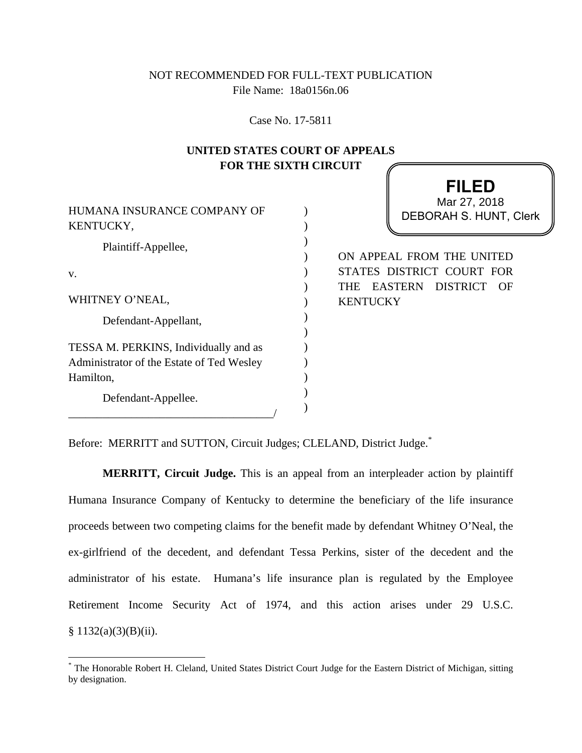# NOT RECOMMENDED FOR FULL-TEXT PUBLICATION File Name: 18a0156n.06

Case No. 17-5811

## **UNITED STATES COURT OF APPEALS FOR THE SIXTH CIRCUIT**

) ) ) ) ) ) )  $\mathcal{L}$ ) )  $\mathcal{L}$ ) )  $\lambda$ 

| HUMANA INSURANCE COMPANY OF<br>KENTUCKY,                                                        |
|-------------------------------------------------------------------------------------------------|
| Plaintiff-Appellee,                                                                             |
| v.                                                                                              |
| WHITNEY O'NEAL,                                                                                 |
| Defendant-Appellant,                                                                            |
| TESSA M. PERKINS, Individually and as<br>Administrator of the Estate of Ted Wesley<br>Hamilton, |
| Defendant-Appellee.                                                                             |

 $\overline{a}$ 

**FILED** DEBORAH S. HUNT, Clerk Mar 27, 2018

ON APPEAL FROM THE UNITED STATES DISTRICT COURT FOR THE EASTERN DISTRICT OF **KENTUCKY** 

Before: MERRITT and SUTTON, Circuit Judges; CLELAND, District Judge.<sup>\*</sup>

**MERRITT, Circuit Judge.** This is an appeal from an interpleader action by plaintiff Humana Insurance Company of Kentucky to determine the beneficiary of the life insurance proceeds between two competing claims for the benefit made by defendant Whitney O'Neal, the ex-girlfriend of the decedent, and defendant Tessa Perkins, sister of the decedent and the administrator of his estate. Humana's life insurance plan is regulated by the Employee Retirement Income Security Act of 1974, and this action arises under 29 U.S.C.  $§ 1132(a)(3)(B)(ii).$ 

<sup>\*</sup> The Honorable Robert H. Cleland, United States District Court Judge for the Eastern District of Michigan, sitting by designation.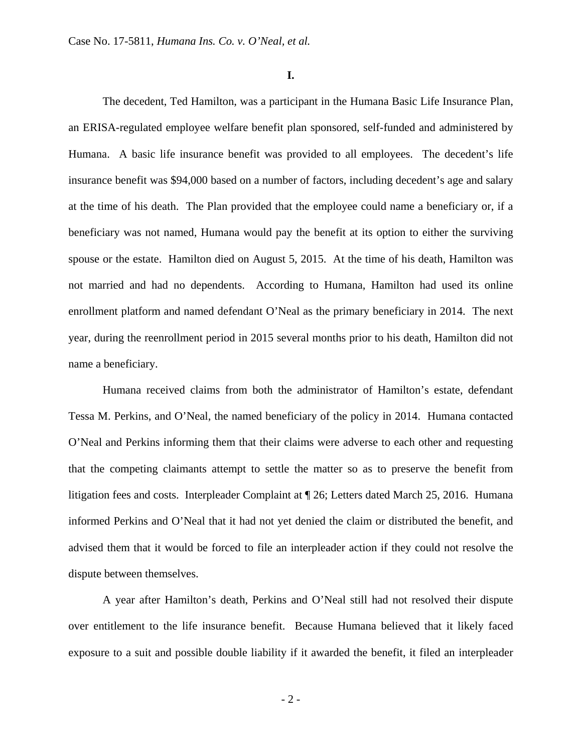**I.** 

The decedent, Ted Hamilton, was a participant in the Humana Basic Life Insurance Plan, an ERISA-regulated employee welfare benefit plan sponsored, self-funded and administered by Humana. A basic life insurance benefit was provided to all employees. The decedent's life insurance benefit was \$94,000 based on a number of factors, including decedent's age and salary at the time of his death. The Plan provided that the employee could name a beneficiary or, if a beneficiary was not named, Humana would pay the benefit at its option to either the surviving spouse or the estate. Hamilton died on August 5, 2015. At the time of his death, Hamilton was not married and had no dependents. According to Humana, Hamilton had used its online enrollment platform and named defendant O'Neal as the primary beneficiary in 2014. The next year, during the reenrollment period in 2015 several months prior to his death, Hamilton did not name a beneficiary.

Humana received claims from both the administrator of Hamilton's estate, defendant Tessa M. Perkins, and O'Neal, the named beneficiary of the policy in 2014. Humana contacted O'Neal and Perkins informing them that their claims were adverse to each other and requesting that the competing claimants attempt to settle the matter so as to preserve the benefit from litigation fees and costs. Interpleader Complaint at ¶ 26; Letters dated March 25, 2016. Humana informed Perkins and O'Neal that it had not yet denied the claim or distributed the benefit, and advised them that it would be forced to file an interpleader action if they could not resolve the dispute between themselves.

A year after Hamilton's death, Perkins and O'Neal still had not resolved their dispute over entitlement to the life insurance benefit. Because Humana believed that it likely faced exposure to a suit and possible double liability if it awarded the benefit, it filed an interpleader

- 2 -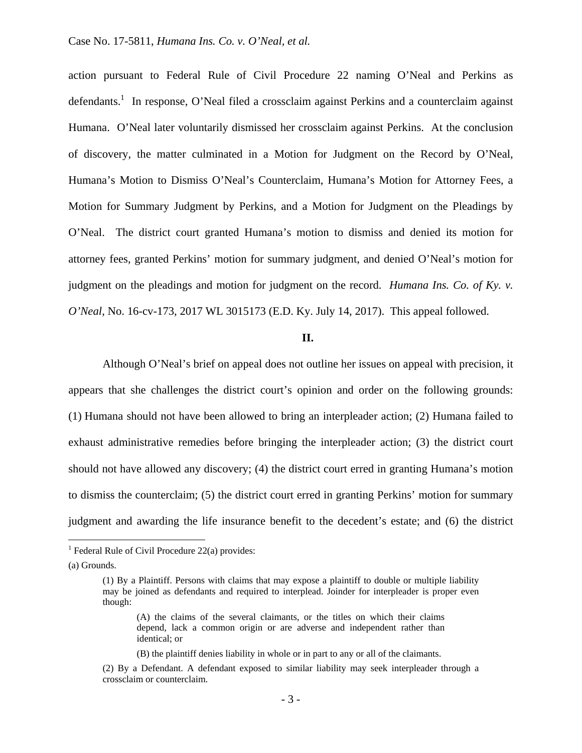action pursuant to Federal Rule of Civil Procedure 22 naming O'Neal and Perkins as defendants.<sup>1</sup> In response, O'Neal filed a crossclaim against Perkins and a counterclaim against Humana. O'Neal later voluntarily dismissed her crossclaim against Perkins. At the conclusion of discovery, the matter culminated in a Motion for Judgment on the Record by O'Neal, Humana's Motion to Dismiss O'Neal's Counterclaim, Humana's Motion for Attorney Fees, a Motion for Summary Judgment by Perkins, and a Motion for Judgment on the Pleadings by O'Neal. The district court granted Humana's motion to dismiss and denied its motion for attorney fees, granted Perkins' motion for summary judgment, and denied O'Neal's motion for judgment on the pleadings and motion for judgment on the record. *Humana Ins. Co. of Ky. v. O'Neal*, No. 16-cv-173, 2017 WL 3015173 (E.D. Ky. July 14, 2017). This appeal followed.

#### **II.**

Although O'Neal's brief on appeal does not outline her issues on appeal with precision, it appears that she challenges the district court's opinion and order on the following grounds: (1) Humana should not have been allowed to bring an interpleader action; (2) Humana failed to exhaust administrative remedies before bringing the interpleader action; (3) the district court should not have allowed any discovery; (4) the district court erred in granting Humana's motion to dismiss the counterclaim; (5) the district court erred in granting Perkins' motion for summary judgment and awarding the life insurance benefit to the decedent's estate; and (6) the district

 $\overline{a}$ 

<sup>&</sup>lt;sup>1</sup> Federal Rule of Civil Procedure 22(a) provides:

<sup>(</sup>a) Grounds.

<sup>(1)</sup> By a Plaintiff. Persons with claims that may expose a plaintiff to double or multiple liability may be joined as defendants and required to interplead. Joinder for interpleader is proper even though:

<sup>(</sup>A) the claims of the several claimants, or the titles on which their claims depend, lack a common origin or are adverse and independent rather than identical; or

<sup>(</sup>B) the plaintiff denies liability in whole or in part to any or all of the claimants.

<sup>(2)</sup> By a Defendant. A defendant exposed to similar liability may seek interpleader through a crossclaim or counterclaim.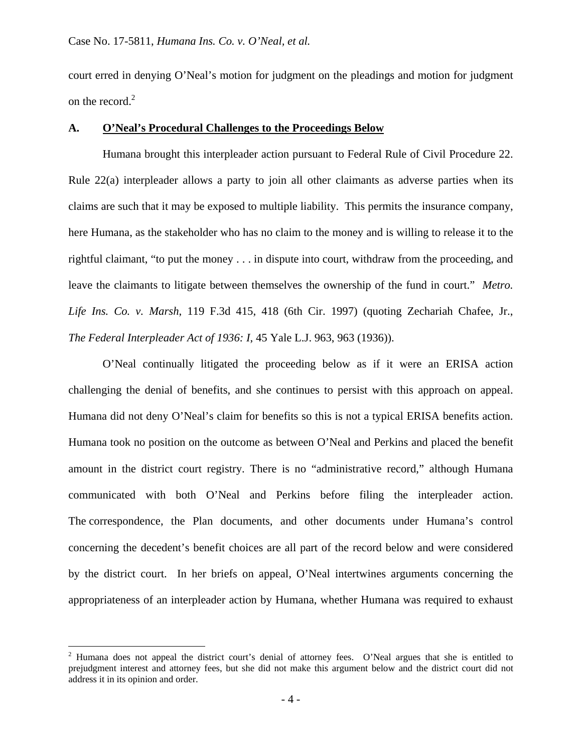court erred in denying O'Neal's motion for judgment on the pleadings and motion for judgment on the record. $2$ 

### **A. O'Neal's Procedural Challenges to the Proceedings Below**

 Humana brought this interpleader action pursuant to Federal Rule of Civil Procedure 22. Rule 22(a) interpleader allows a party to join all other claimants as adverse parties when its claims are such that it may be exposed to multiple liability. This permits the insurance company, here Humana, as the stakeholder who has no claim to the money and is willing to release it to the rightful claimant, "to put the money . . . in dispute into court, withdraw from the proceeding, and leave the claimants to litigate between themselves the ownership of the fund in court." *Metro. Life Ins. Co. v. Marsh*, 119 F.3d 415, 418 (6th Cir. 1997) (quoting Zechariah Chafee, Jr., *The Federal Interpleader Act of 1936: I*, 45 Yale L.J. 963, 963 (1936)).

O'Neal continually litigated the proceeding below as if it were an ERISA action challenging the denial of benefits, and she continues to persist with this approach on appeal. Humana did not deny O'Neal's claim for benefits so this is not a typical ERISA benefits action. Humana took no position on the outcome as between O'Neal and Perkins and placed the benefit amount in the district court registry. There is no "administrative record," although Humana communicated with both O'Neal and Perkins before filing the interpleader action. The correspondence, the Plan documents, and other documents under Humana's control concerning the decedent's benefit choices are all part of the record below and were considered by the district court. In her briefs on appeal, O'Neal intertwines arguments concerning the appropriateness of an interpleader action by Humana, whether Humana was required to exhaust

 $\overline{a}$ 

<sup>&</sup>lt;sup>2</sup> Humana does not appeal the district court's denial of attorney fees. O'Neal argues that she is entitled to prejudgment interest and attorney fees, but she did not make this argument below and the district court did not address it in its opinion and order.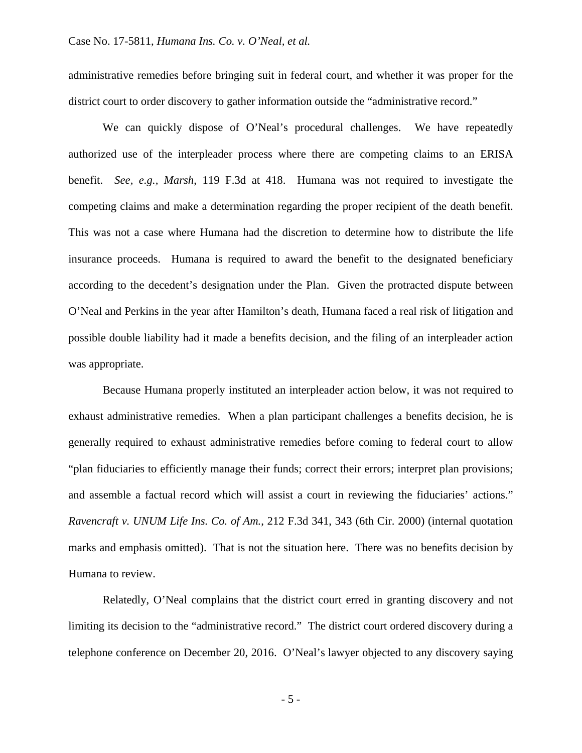administrative remedies before bringing suit in federal court, and whether it was proper for the district court to order discovery to gather information outside the "administrative record."

We can quickly dispose of O'Neal's procedural challenges. We have repeatedly authorized use of the interpleader process where there are competing claims to an ERISA benefit. *See, e.g., Marsh*, 119 F.3d at 418. Humana was not required to investigate the competing claims and make a determination regarding the proper recipient of the death benefit. This was not a case where Humana had the discretion to determine how to distribute the life insurance proceeds. Humana is required to award the benefit to the designated beneficiary according to the decedent's designation under the Plan. Given the protracted dispute between O'Neal and Perkins in the year after Hamilton's death, Humana faced a real risk of litigation and possible double liability had it made a benefits decision, and the filing of an interpleader action was appropriate.

Because Humana properly instituted an interpleader action below, it was not required to exhaust administrative remedies. When a plan participant challenges a benefits decision, he is generally required to exhaust administrative remedies before coming to federal court to allow "plan fiduciaries to efficiently manage their funds; correct their errors; interpret plan provisions; and assemble a factual record which will assist a court in reviewing the fiduciaries' actions." *Ravencraft v. UNUM Life Ins. Co. of Am.*, 212 F.3d 341, 343 (6th Cir. 2000) (internal quotation marks and emphasis omitted). That is not the situation here. There was no benefits decision by Humana to review.

Relatedly, O'Neal complains that the district court erred in granting discovery and not limiting its decision to the "administrative record." The district court ordered discovery during a telephone conference on December 20, 2016. O'Neal's lawyer objected to any discovery saying

- 5 -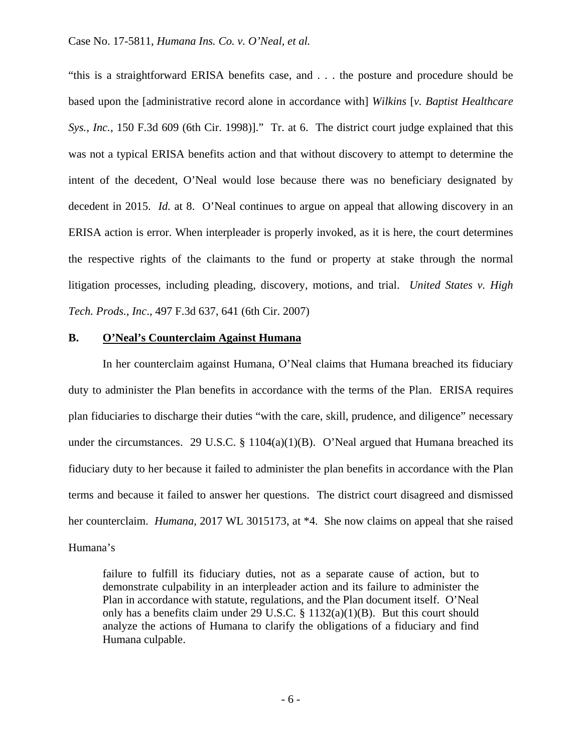"this is a straightforward ERISA benefits case, and . . . the posture and procedure should be based upon the [administrative record alone in accordance with] *Wilkins* [*v. Baptist Healthcare Sys., Inc.*, 150 F.3d 609 (6th Cir. 1998)]." Tr. at 6. The district court judge explained that this was not a typical ERISA benefits action and that without discovery to attempt to determine the intent of the decedent, O'Neal would lose because there was no beneficiary designated by decedent in 2015. *Id.* at 8. O'Neal continues to argue on appeal that allowing discovery in an ERISA action is error. When interpleader is properly invoked, as it is here, the court determines the respective rights of the claimants to the fund or property at stake through the normal litigation processes, including pleading, discovery, motions, and trial. *United States v. High Tech. Prods., Inc*., 497 F.3d 637, 641 (6th Cir. 2007)

#### **B. O'Neal's Counterclaim Against Humana**

In her counterclaim against Humana, O'Neal claims that Humana breached its fiduciary duty to administer the Plan benefits in accordance with the terms of the Plan. ERISA requires plan fiduciaries to discharge their duties "with the care, skill, prudence, and diligence" necessary under the circumstances. 29 U.S.C. § 1104(a)(1)(B).O'Neal argued that Humana breached its fiduciary duty to her because it failed to administer the plan benefits in accordance with the Plan terms and because it failed to answer her questions. The district court disagreed and dismissed her counterclaim. *Humana,* 2017 WL 3015173, at \*4. She now claims on appeal that she raised Humana's

failure to fulfill its fiduciary duties, not as a separate cause of action, but to demonstrate culpability in an interpleader action and its failure to administer the Plan in accordance with statute, regulations, and the Plan document itself. O'Neal only has a benefits claim under 29 U.S.C. § 1132(a)(1)(B). But this court should analyze the actions of Humana to clarify the obligations of a fiduciary and find Humana culpable.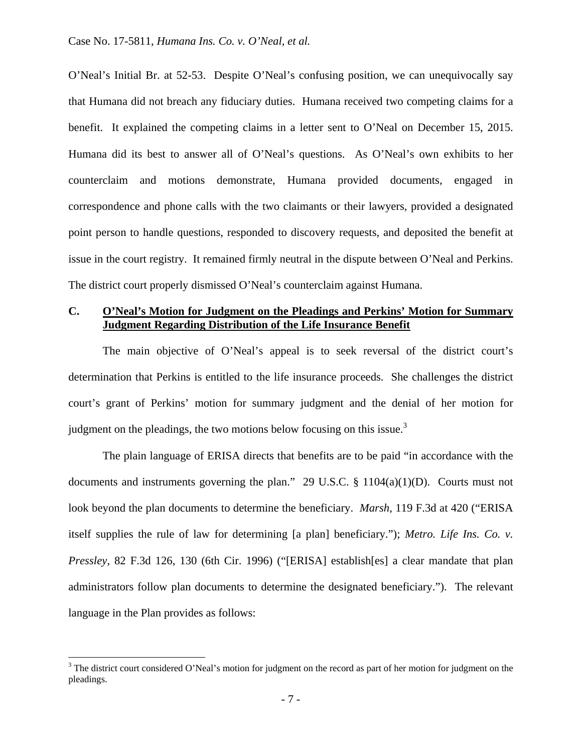O'Neal's Initial Br. at 52-53. Despite O'Neal's confusing position, we can unequivocally say that Humana did not breach any fiduciary duties. Humana received two competing claims for a benefit. It explained the competing claims in a letter sent to O'Neal on December 15, 2015. Humana did its best to answer all of O'Neal's questions. As O'Neal's own exhibits to her counterclaim and motions demonstrate, Humana provided documents, engaged in correspondence and phone calls with the two claimants or their lawyers, provided a designated point person to handle questions, responded to discovery requests, and deposited the benefit at issue in the court registry. It remained firmly neutral in the dispute between O'Neal and Perkins. The district court properly dismissed O'Neal's counterclaim against Humana.

### **C. O'Neal's Motion for Judgment on the Pleadings and Perkins' Motion for Summary Judgment Regarding Distribution of the Life Insurance Benefit**

The main objective of O'Neal's appeal is to seek reversal of the district court's determination that Perkins is entitled to the life insurance proceeds. She challenges the district court's grant of Perkins' motion for summary judgment and the denial of her motion for judgment on the pleadings, the two motions below focusing on this issue. $3$ 

 The plain language of ERISA directs that benefits are to be paid "in accordance with the documents and instruments governing the plan." 29 U.S.C. § 1104(a)(1)(D). Courts must not look beyond the plan documents to determine the beneficiary. *Marsh*, 119 F.3d at 420 ("ERISA itself supplies the rule of law for determining [a plan] beneficiary."); *Metro. Life Ins. Co. v. Pressley*, 82 F.3d 126, 130 (6th Cir. 1996) ("[ERISA] establish[es] a clear mandate that plan administrators follow plan documents to determine the designated beneficiary."). The relevant language in the Plan provides as follows:

 $\overline{a}$ 

 $3$  The district court considered O'Neal's motion for judgment on the record as part of her motion for judgment on the pleadings.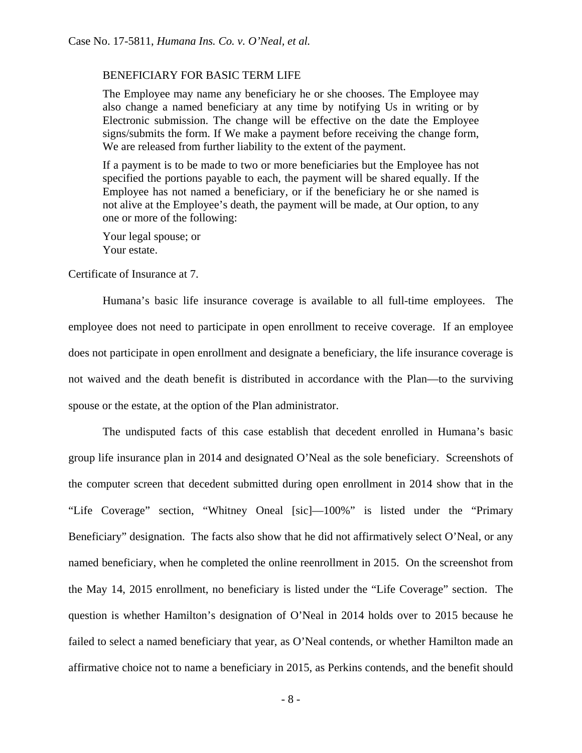#### BENEFICIARY FOR BASIC TERM LIFE

The Employee may name any beneficiary he or she chooses. The Employee may also change a named beneficiary at any time by notifying Us in writing or by Electronic submission. The change will be effective on the date the Employee signs/submits the form. If We make a payment before receiving the change form, We are released from further liability to the extent of the payment.

If a payment is to be made to two or more beneficiaries but the Employee has not specified the portions payable to each, the payment will be shared equally. If the Employee has not named a beneficiary, or if the beneficiary he or she named is not alive at the Employee's death, the payment will be made, at Our option, to any one or more of the following:

Your legal spouse; or Your estate.

Certificate of Insurance at 7.

Humana's basic life insurance coverage is available to all full-time employees. The employee does not need to participate in open enrollment to receive coverage. If an employee does not participate in open enrollment and designate a beneficiary, the life insurance coverage is not waived and the death benefit is distributed in accordance with the Plan—to the surviving spouse or the estate, at the option of the Plan administrator.

The undisputed facts of this case establish that decedent enrolled in Humana's basic group life insurance plan in 2014 and designated O'Neal as the sole beneficiary. Screenshots of the computer screen that decedent submitted during open enrollment in 2014 show that in the "Life Coverage" section, "Whitney Oneal [sic]—100%" is listed under the "Primary Beneficiary" designation. The facts also show that he did not affirmatively select O'Neal, or any named beneficiary, when he completed the online reenrollment in 2015. On the screenshot from the May 14, 2015 enrollment, no beneficiary is listed under the "Life Coverage" section. The question is whether Hamilton's designation of O'Neal in 2014 holds over to 2015 because he failed to select a named beneficiary that year, as O'Neal contends, or whether Hamilton made an affirmative choice not to name a beneficiary in 2015, as Perkins contends, and the benefit should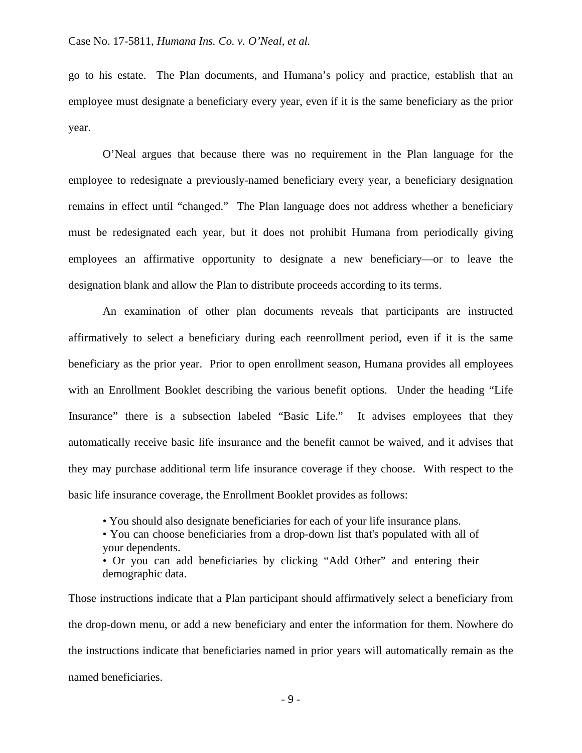go to his estate. The Plan documents, and Humana's policy and practice, establish that an employee must designate a beneficiary every year, even if it is the same beneficiary as the prior year.

O'Neal argues that because there was no requirement in the Plan language for the employee to redesignate a previously-named beneficiary every year, a beneficiary designation remains in effect until "changed." The Plan language does not address whether a beneficiary must be redesignated each year, but it does not prohibit Humana from periodically giving employees an affirmative opportunity to designate a new beneficiary—or to leave the designation blank and allow the Plan to distribute proceeds according to its terms.

An examination of other plan documents reveals that participants are instructed affirmatively to select a beneficiary during each reenrollment period, even if it is the same beneficiary as the prior year. Prior to open enrollment season, Humana provides all employees with an Enrollment Booklet describing the various benefit options. Under the heading "Life Insurance" there is a subsection labeled "Basic Life." It advises employees that they automatically receive basic life insurance and the benefit cannot be waived, and it advises that they may purchase additional term life insurance coverage if they choose. With respect to the basic life insurance coverage, the Enrollment Booklet provides as follows:

• You should also designate beneficiaries for each of your life insurance plans.

• You can choose beneficiaries from a drop-down list that's populated with all of your dependents.

• Or you can add beneficiaries by clicking "Add Other" and entering their demographic data.

Those instructions indicate that a Plan participant should affirmatively select a beneficiary from the drop-down menu, or add a new beneficiary and enter the information for them. Nowhere do the instructions indicate that beneficiaries named in prior years will automatically remain as the named beneficiaries.

- 9 -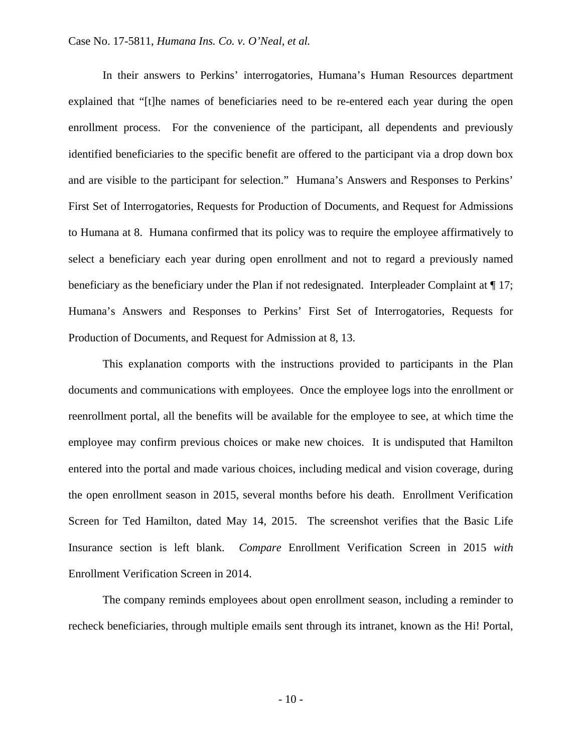In their answers to Perkins' interrogatories, Humana's Human Resources department explained that "[t]he names of beneficiaries need to be re-entered each year during the open enrollment process. For the convenience of the participant, all dependents and previously identified beneficiaries to the specific benefit are offered to the participant via a drop down box and are visible to the participant for selection." Humana's Answers and Responses to Perkins' First Set of Interrogatories, Requests for Production of Documents, and Request for Admissions to Humana at 8. Humana confirmed that its policy was to require the employee affirmatively to select a beneficiary each year during open enrollment and not to regard a previously named beneficiary as the beneficiary under the Plan if not redesignated. Interpleader Complaint at  $\P$  17; Humana's Answers and Responses to Perkins' First Set of Interrogatories, Requests for Production of Documents, and Request for Admission at 8, 13.

This explanation comports with the instructions provided to participants in the Plan documents and communications with employees. Once the employee logs into the enrollment or reenrollment portal, all the benefits will be available for the employee to see, at which time the employee may confirm previous choices or make new choices. It is undisputed that Hamilton entered into the portal and made various choices, including medical and vision coverage, during the open enrollment season in 2015, several months before his death. Enrollment Verification Screen for Ted Hamilton, dated May 14, 2015. The screenshot verifies that the Basic Life Insurance section is left blank. *Compare* Enrollment Verification Screen in 2015 *with* Enrollment Verification Screen in 2014.

The company reminds employees about open enrollment season, including a reminder to recheck beneficiaries, through multiple emails sent through its intranet, known as the Hi! Portal,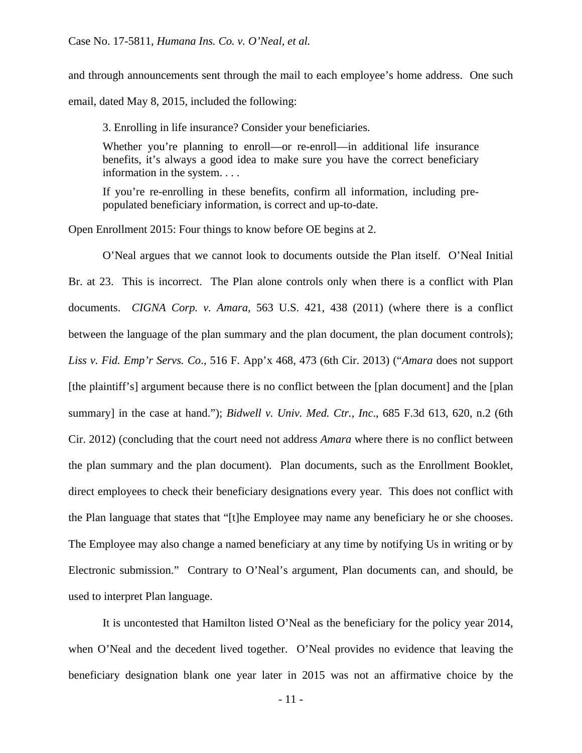and through announcements sent through the mail to each employee's home address. One such email, dated May 8, 2015, included the following:

3. Enrolling in life insurance? Consider your beneficiaries.

Whether you're planning to enroll—or re-enroll—in additional life insurance benefits, it's always a good idea to make sure you have the correct beneficiary information in the system. . . .

If you're re-enrolling in these benefits, confirm all information, including prepopulated beneficiary information, is correct and up-to-date.

Open Enrollment 2015: Four things to know before OE begins at 2.

O'Neal argues that we cannot look to documents outside the Plan itself. O'Neal Initial Br. at 23. This is incorrect. The Plan alone controls only when there is a conflict with Plan documents. *CIGNA Corp. v. Amara,* 563 U.S. 421, 438 (2011) (where there is a conflict between the language of the plan summary and the plan document, the plan document controls); *Liss v. Fid. Emp'r Servs. Co*., 516 F. App'x 468, 473 (6th Cir. 2013) ("*Amara* does not support [the plaintiff's] argument because there is no conflict between the [plan document] and the [plan summary] in the case at hand."); *Bidwell v. Univ. Med. Ctr., Inc*., 685 F.3d 613, 620, n.2 (6th Cir. 2012) (concluding that the court need not address *Amara* where there is no conflict between the plan summary and the plan document). Plan documents, such as the Enrollment Booklet, direct employees to check their beneficiary designations every year. This does not conflict with the Plan language that states that "[t]he Employee may name any beneficiary he or she chooses. The Employee may also change a named beneficiary at any time by notifying Us in writing or by Electronic submission." Contrary to O'Neal's argument, Plan documents can, and should, be used to interpret Plan language.

 It is uncontested that Hamilton listed O'Neal as the beneficiary for the policy year 2014, when O'Neal and the decedent lived together. O'Neal provides no evidence that leaving the beneficiary designation blank one year later in 2015 was not an affirmative choice by the